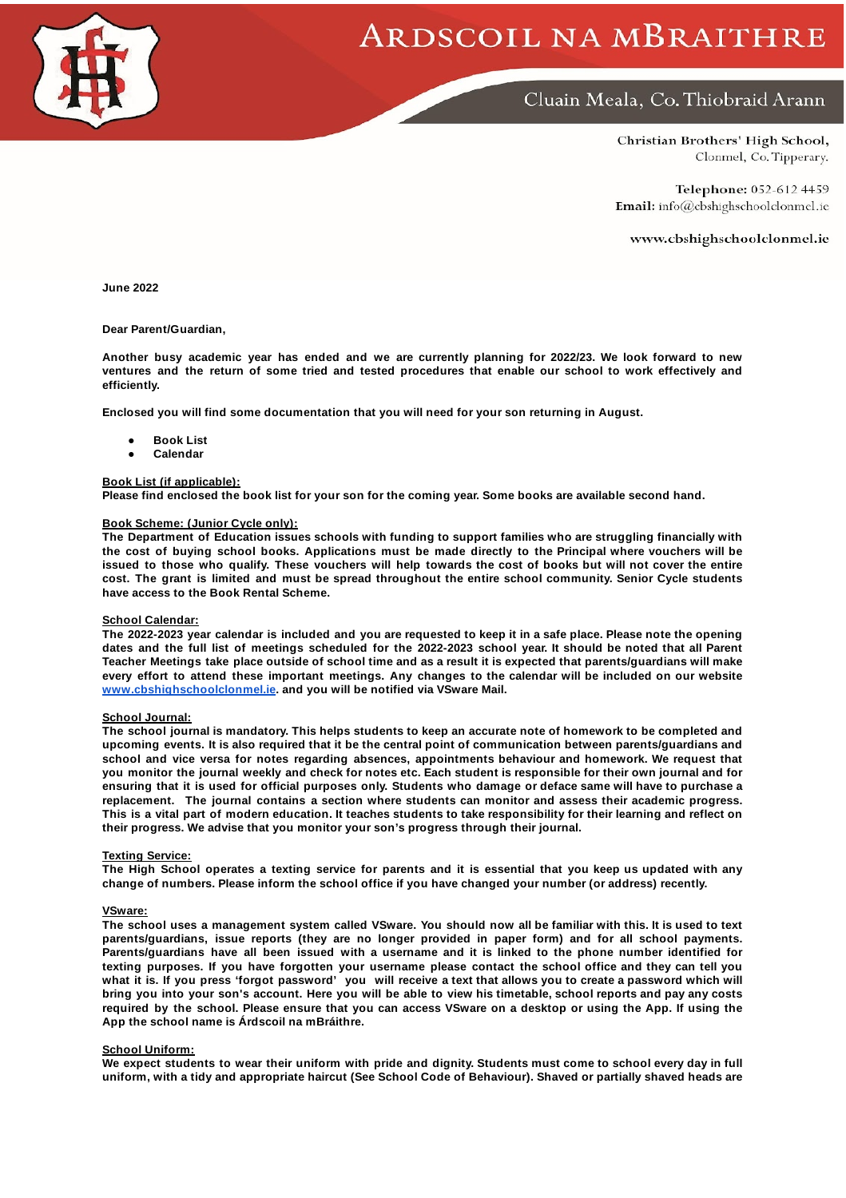

# ARDSCOIL NA MBRAITHRE

# Cluain Meala, Co. Thiobraid Arann

Christian Brothers' High School, Clonmel, Co. Tipperary.

Telephone: 052-612 4459 Email: info@cbshighschoolclonmel.ie

www.cbshighschoolclonmel.ie

**June 2022**

**Dear Parent/Guardian,**

Another busy academic year has ended and we are currently planning for 2022/23. We look forward to new ventures and the return of some tried and tested procedures that enable our school to work effectively and **efficiently.**

**Enclosed you will find some documentation that you will need for your son returning in August.**

- **● Book List**
- **● Calendar**

# **Book List (if applicable):**

Please find enclosed the book list for your son for the coming year. Some books are available second hand.

# **Book Scheme: (Junior Cycle only):**

**The Department of Education issues schools with funding to support families who are struggling financially with** the cost of buying school books. Applications must be made directly to the Principal where vouchers will be issued to those who qualify. These vouchers will help towards the cost of books but will not cover the entire cost. The grant is limited and must be spread throughout the entire school community. Senior Cycle students **have access to the Book Rental Scheme.**

#### **School Calendar:**

The 2022-2023 year calendar is included and you are requested to keep it in a safe place. Please note the opening dates and the full list of meetings scheduled for the 2022-2023 school year. It should be noted that all Parent Teacher Meetings take place outside of school time and as a result it is expected that parents/guardians will make every effort to attend these important meetings. Any changes to the calendar will be included on our website **[www.cbshighschoolclonmel.ie](http://www.cbshighschoolclonmel.ie/). and you will be notified via VSware Mail.**

# **School Journal:**

The school journal is mandatory. This helps students to keep an accurate note of homework to be completed and upcoming events. It is also required that it be the central point of communication between parents/guardians and **school and vice versa for notes regarding absences, appointments behaviour and homework. We request that** you monitor the journal weekly and check for notes etc. Each student is responsible for their own journal and for ensuring that it is used for official purposes only. Students who damage or deface same will have to purchase a **replacement. The journal contains a section where students can monitor and assess their academic progress.** This is a vital part of modern education. It teaches students to take responsibility for their learning and reflect on **their progress. We advise that you monitor your son's progress through their journal.**

#### **Texting Service:**

The High School operates a texting service for parents and it is essential that you keep us updated with any **change of numbers. Please inform the school office if you have changed your number (or address) recently.**

#### **VSware:**

The school uses a management system called VSware. You should now all be familiar with this. It is used to text **parents/guardians, issue reports (they are no longer provided in paper form) and for all school payments.** Parents/guardians have all been issued with a username and it is linked to the phone number identified for texting purposes. If you have forgotten your username please contact the school office and they can tell you what it is. If you press 'forgot password'you will receive a text that allows you to create a password which will bring you into your son's account. Here you will be able to view his timetable, school reports and pay any costs required by the school. Please ensure that you can access VSware on a desktop or using the App. If using the **App the school name is Árdscoil na mBráithre.**

# **School Uniform:**

We expect students to wear their uniform with pride and dignity. Students must come to school every day in full uniform, with a tidy and appropriate haircut (See School Code of Behaviour). Shaved or partially shaved heads are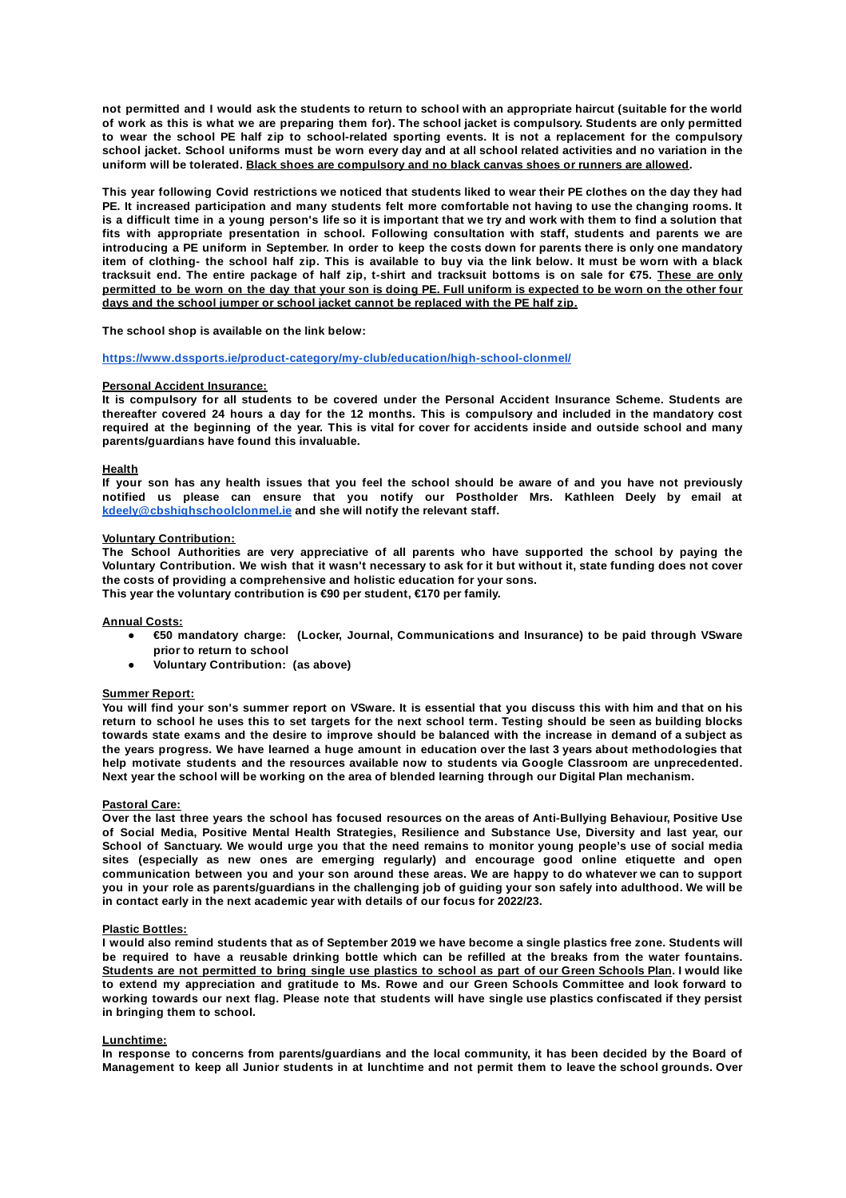not permitted and I would ask the students to return to school with an appropriate haircut (suitable for the world of work as this is what we are preparing them for). The school jacket is compulsory. Students are only permitted to wear the school PE half zip to school-related sporting events. It is not a replacement for the compulsory school jacket. School uniforms must be worn every day and at all school related activities and no variation in the **uniform will be tolerated. Black shoes are compulsory and no black canvas shoes or runners are allowed.**

This year following Covid restrictions we noticed that students liked to wear their PE clothes on the day they had PE. It increased participation and many students felt more comfortable not having to use the changing rooms. It is a difficult time in a young person's life so it is important that we try and work with them to find a solution that **fits with appropriate presentation in school. Following consultation with staff, students and parents we are** introducing a PE uniform in September. In order to keep the costs down for parents there is only one mandatory item of clothing- the school half zip. This is available to buy via the link below. It must be worn with a black tracksuit end. The entire package of half zip, t-shirt and tracksuit bottoms is on sale for €75. These are only permitted to be worn on the day that your son is doing PE. Full uniform is expected to be worn on the other four **days and the school jumper or school jacket cannot be replaced with the PE half zip.**

**The school shop is available on the link below:**

#### **<https://www.dssports.ie/product-category/my-club/education/high-school-clonmel/>**

# **Personal Accident Insurance:**

It is compulsory for all students to be covered under the Personal Accident Insurance Scheme. Students are thereafter covered 24 hours a day for the 12 months. This is compulsory and included in the mandatory cost required at the beginning of the year. This is vital for cover for accidents inside and outside school and many **parents/guardians have found this invaluable.**

# **Health**

If your son has any health issues that you feel the school should be aware of and you have not previously **notified us please can ensure that you notify our Postholder Mrs. Kathleen Deely by email at [kdeely@cbshighschoolclonmel.ie](mailto:kdeely@cbshighschoolclonmel.ie) and she will notify the relevant staff.**

#### **Voluntary Contribution:**

**The School Authorities are very appreciative of all parents who have supported the school by paying the** Voluntary Contribution. We wish that it wasn't necessary to ask for it but without it, state funding does not cover **the costs of providing a comprehensive and holistic education for your sons. This year the voluntary contribution is €90 per student, €170 per family.**

# **Annual Costs:**

- **● €50 mandatory charge: (Locker, Journal, Communications and Insurance) to be paid through VSware prior to return to school**
- **● Voluntary Contribution: (as above)**

# **Summer Report:**

You will find your son's summer report on VSware. It is essential that you discuss this with him and that on his return to school he uses this to set targets for the next school term. Testing should be seen as building blocks towards state exams and the desire to improve should be balanced with the increase in demand of a subject as the years progress. We have learned a huge amount in education over the last 3 years about methodologies that **help motivate students and the resources available now to students via Google Classroom are unprecedented.** Next year the school will be working on the area of blended learning through our Digital Plan mechanism.

#### **Pastoral Care:**

Over the last three years the school has focused resources on the areas of Anti-Bullying Behaviour, Positive Use **of Social Media, Positive Mental Health Strategies, Resilience and Substance Use, Diversity and last year, our** School of Sanctuary. We would urge you that the need remains to monitor young people's use of social media **sites (especially as new ones are emerging regularly) and encourage good online etiquette and open** communication between you and your son around these areas. We are happy to do whatever we can to support you in your role as parents/guardians in the challenging job of guiding your son safely into adulthood. We will be **in contact early in the next academic year with details of our focus for 2022/23.**

# **Plastic Bottles:**

I would also remind students that as of September 2019 we have become a single plastics free zone. Students will be required to have a reusable drinking bottle which can be refilled at the breaks from the water fountains. Students are not permitted to bring single use plastics to school as part of our Green Schools Plan. I would like to extend my appreciation and gratitude to Ms. Rowe and our Green Schools Committee and look forward to working towards our next flag. Please note that students will have single use plastics confiscated if they persist **in bringing them to school.**

#### **Lunchtime:**

In response to concerns from parents/guardians and the local community, it has been decided by the Board of Management to keep all Junior students in at lunchtime and not permit them to leave the school grounds. Over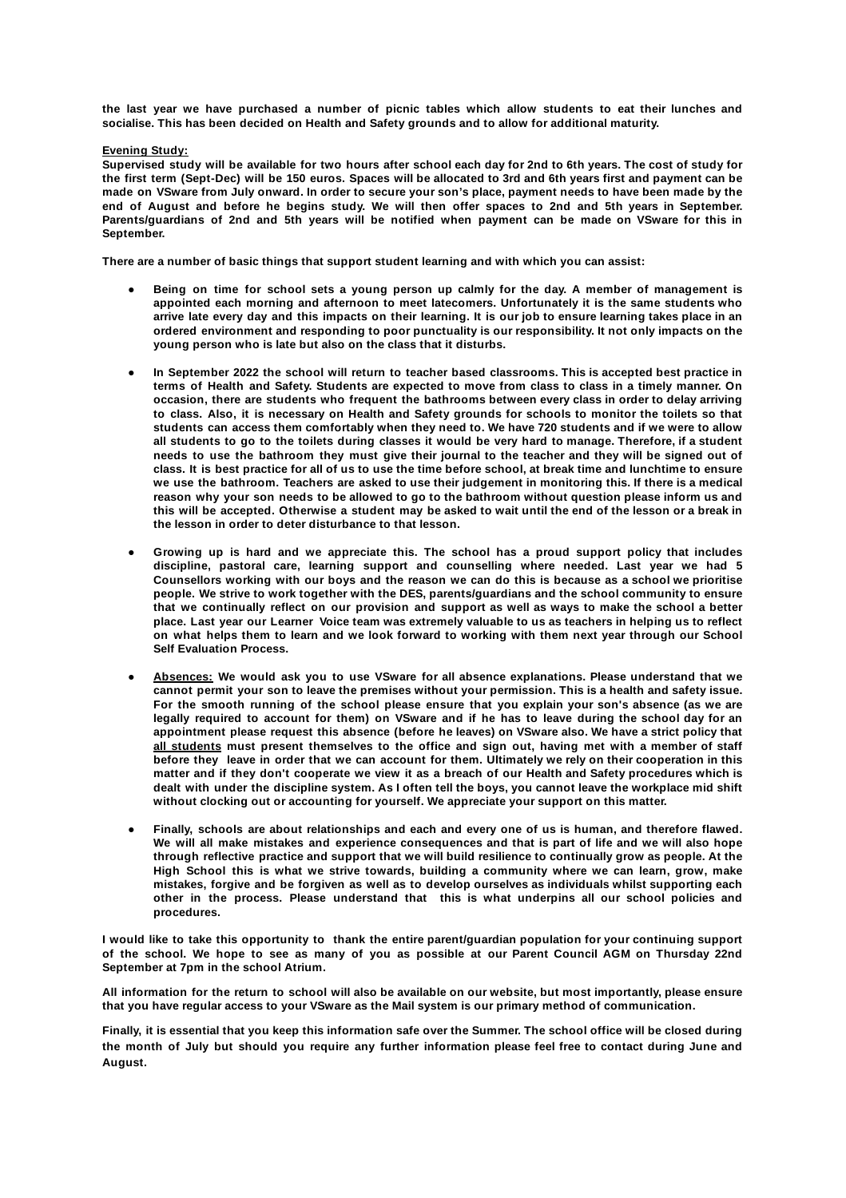the last year we have purchased a number of picnic tables which allow students to eat their lunches and **socialise. This has been decided on Health and Safety grounds and to allow for additional maturity.**

**Evening Study:**

Supervised study will be available for two hours after school each day for 2nd to 6th years. The cost of study for the first term (Sept-Dec) will be 150 euros. Spaces will be allocated to 3rd and 6th years first and payment can be made on VSware from July onward. In order to secure your son's place, payment needs to have been made by the end of August and before he begins study. We will then offer spaces to 2nd and 5th years in September. Parents/guardians of 2nd and 5th years will be notified when payment can be made on VSware for this in **September.**

**There are a number of basic things that support student learning and with which you can assist:**

- Being on time for school sets a young person up calmly for the day. A member of management is **appointed each morning and afternoon to meet latecomers. Unfortunately it is the same students who** arrive late every day and this impacts on their learning. It is our job to ensure learning takes place in an **ordered environment and responding to poor punctuality is our responsibility. It not only impacts on the young person who is late but also on the class that it disturbs.**
- In September 2022 the school will return to teacher based classrooms. This is accepted best practice in terms of Health and Safety. Students are expected to move from class to class in a timely manner. On **occasion, there are students who frequent the bathrooms between every class in order to delay arriving** to class. Also, it is necessary on Health and Safety grounds for schools to monitor the toilets so that students can access them comfortably when they need to. We have 720 students and if we were to allow all students to go to the toilets during classes it would be very hard to manage. Therefore, if a student needs to use the bathroom they must give their journal to the teacher and they will be signed out of class. It is best practice for all of us to use the time before school, at break time and lunchtime to ensure we use the bathroom. Teachers are asked to use their judgement in monitoring this. If there is a medical reason why your son needs to be allowed to go to the bathroom without question please inform us and this will be accepted. Otherwise a student may be asked to wait until the end of the lesson or a break in **the lesson in order to deter disturbance to that lesson.**
- **● Growing up is hard and we appreciate this. The school has a proud support policy that includes discipline, pastoral care, learning support and counselling where needed. Last year we had 5** Counsellors working with our boys and the reason we can do this is because as a school we prioritise **people. We strive to work together with the DES, parents/guardians and the school community to ensure** that we continually reflect on our provision and support as well as ways to make the school a better place. Last year our Learner Voice team was extremely valuable to us as teachers in helping us to reflect on what helps them to learn and we look forward to working with them next year through our School **Self Evaluation Process.**
- **● Absences: We would ask you to use VSware for all absence explanations. Please understand that we** cannot permit your son to leave the premises without your permission. This is a health and safety issue. **For the smooth running of the school please ensure that you explain your son's absence (as we are** legally required to account for them) on VSware and if he has to leave during the school day for an **appointment please request this absence (before he leaves) on VSware also. We have a strict policy that all students must present themselves to the office and sign out, having met with a member of staff** before they leave in order that we can account for them. Ultimately we rely on their cooperation in this matter and if they don't cooperate we view it as a breach of our Health and Safety procedures which is dealt with under the discipline system. As I often tell the boys, you cannot leave the workplace mid shift **without clocking out or accounting for yourself. We appreciate your support on this matter.**
- Finally, schools are about relationships and each and every one of us is human, and therefore flawed. We will all make mistakes and experience consequences and that is part of life and we will also hope through reflective practice and support that we will build resilience to continually grow as people. At the **High School this is what we strive towards, building a community where we can learn, grow, make mistakes, forgive and be forgiven as well as to develop ourselves as individuals whilst supporting each other in the process. Please understand that this is what underpins all our school policies and procedures.**

I would like to take this opportunity to thank the entire parent/guardian population for your continuing support of the school. We hope to see as many of you as possible at our Parent Council AGM on Thursday 22nd **September at 7pm in the school Atrium.**

All information for the return to school will also be available on our website, but most importantly, please ensure that you have regular access to your VSware as the Mail system is our primary method of communication.

Finally, it is essential that you keep this information safe over the Summer. The school office will be closed during the month of July but should you require any further information please feel free to contact during June and **August.**